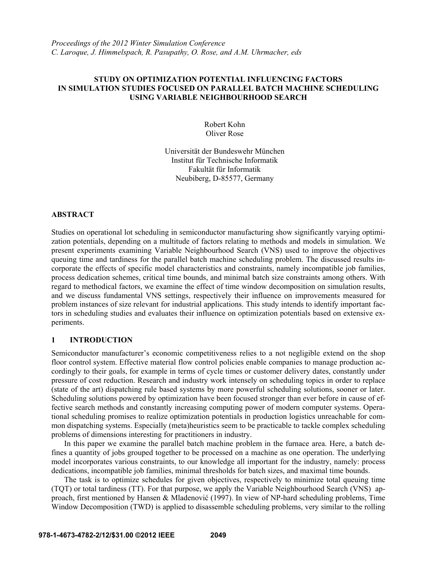*Proceedings of the 2012 Winter Simulation Conference C. Laroque, J. Himmelspach, R. Pasupathy, O. Rose, and A.M. Uhrmacher, eds* 

## **STUDY ON OPTIMIZATION POTENTIAL INFLUENCING FACTORS IN SIMULATION STUDIES FOCUSED ON PARALLEL BATCH MACHINE SCHEDULING USING VARIABLE NEIGHBOURHOOD SEARCH**

Robert Kohn Oliver Rose

Universität der Bundeswehr München Institut für Technische Informatik Fakultät für Informatik Neubiberg, D-85577, Germany

#### **ABSTRACT**

Studies on operational lot scheduling in semiconductor manufacturing show significantly varying optimization potentials, depending on a multitude of factors relating to methods and models in simulation. We present experiments examining Variable Neighbourhood Search (VNS) used to improve the objectives queuing time and tardiness for the parallel batch machine scheduling problem. The discussed results incorporate the effects of specific model characteristics and constraints, namely incompatible job families, process dedication schemes, critical time bounds, and minimal batch size constraints among others. With regard to methodical factors, we examine the effect of time window decomposition on simulation results, and we discuss fundamental VNS settings, respectively their influence on improvements measured for problem instances of size relevant for industrial applications. This study intends to identify important factors in scheduling studies and evaluates their influence on optimization potentials based on extensive experiments.

#### **1 INTRODUCTION**

Semiconductor manufacturer's economic competitiveness relies to a not negligible extend on the shop floor control system. Effective material flow control policies enable companies to manage production accordingly to their goals, for example in terms of cycle times or customer delivery dates, constantly under pressure of cost reduction. Research and industry work intensely on scheduling topics in order to replace (state of the art) dispatching rule based systems by more powerful scheduling solutions, sooner or later. Scheduling solutions powered by optimization have been focused stronger than ever before in cause of effective search methods and constantly increasing computing power of modern computer systems. Operational scheduling promises to realize optimization potentials in production logistics unreachable for common dispatching systems. Especially (meta)heuristics seem to be practicable to tackle complex scheduling problems of dimensions interesting for practitioners in industry.

 In this paper we examine the parallel batch machine problem in the furnace area. Here, a batch defines a quantity of jobs grouped together to be processed on a machine as one operation. The underlying model incorporates various constraints, to our knowledge all important for the industry, namely: process dedications, incompatible job families, minimal thresholds for batch sizes, and maximal time bounds.

 The task is to optimize schedules for given objectives, respectively to minimize total queuing time (TQT) or total tardiness (TT). For that purpose, we apply the Variable Neighbourhood Search (VNS) approach, first mentioned by Hansen & Mladenović (1997). In view of NP-hard scheduling problems, Time Window Decomposition (TWD) is applied to disassemble scheduling problems, very similar to the rolling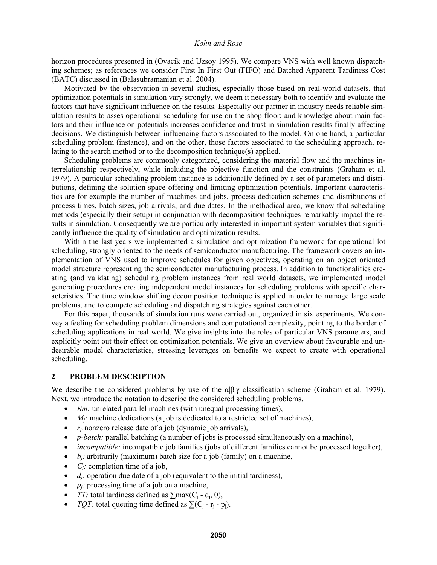horizon procedures presented in (Ovacik and Uzsoy 1995). We compare VNS with well known dispatching schemes; as references we consider First In First Out (FIFO) and Batched Apparent Tardiness Cost (BATC) discussed in (Balasubramanian et al. 2004).

 Motivated by the observation in several studies, especially those based on real-world datasets, that optimization potentials in simulation vary strongly, we deem it necessary both to identify and evaluate the factors that have significant influence on the results. Especially our partner in industry needs reliable simulation results to asses operational scheduling for use on the shop floor; and knowledge about main factors and their influence on potentials increases confidence and trust in simulation results finally affecting decisions. We distinguish between influencing factors associated to the model. On one hand, a particular scheduling problem (instance), and on the other, those factors associated to the scheduling approach, relating to the search method or to the decomposition technique(s) applied.

 Scheduling problems are commonly categorized, considering the material flow and the machines interrelationship respectively, while including the objective function and the constraints (Graham et al. 1979). A particular scheduling problem instance is additionally defined by a set of parameters and distributions, defining the solution space offering and limiting optimization potentials. Important characteristics are for example the number of machines and jobs, process dedication schemes and distributions of process times, batch sizes, job arrivals, and due dates. In the methodical area, we know that scheduling methods (especially their setup) in conjunction with decomposition techniques remarkably impact the results in simulation. Consequently we are particularly interested in important system variables that significantly influence the quality of simulation and optimization results.

 Within the last years we implemented a simulation and optimization framework for operational lot scheduling, strongly oriented to the needs of semiconductor manufacturing. The framework covers an implementation of VNS used to improve schedules for given objectives, operating on an object oriented model structure representing the semiconductor manufacturing process. In addition to functionalities creating (and validating) scheduling problem instances from real world datasets, we implemented model generating procedures creating independent model instances for scheduling problems with specific characteristics. The time window shifting decomposition technique is applied in order to manage large scale problems, and to compete scheduling and dispatching strategies against each other.

 For this paper, thousands of simulation runs were carried out, organized in six experiments. We convey a feeling for scheduling problem dimensions and computational complexity, pointing to the border of scheduling applications in real world. We give insights into the roles of particular VNS parameters, and explicitly point out their effect on optimization potentials. We give an overview about favourable and undesirable model characteristics, stressing leverages on benefits we expect to create with operational scheduling.

# **2 PROBLEM DESCRIPTION**

We describe the considered problems by use of the  $\alpha|\beta|\gamma$  classification scheme (Graham et al. 1979). Next, we introduce the notation to describe the considered scheduling problems.

- *Rm:* unrelated parallel machines (with unequal processing times),
- $\bullet$  *M<sub>i</sub>*: machine dedications (a job is dedicated to a restricted set of machines),
- $r_j$ : nonzero release date of a job (dynamic job arrivals),
- *p-batch:* parallel batching (a number of jobs is processed simultaneously on a machine),
- *incompatible:* incompatible job families (jobs of different families cannot be processed together),
- $\bullet$  *b<sub>i</sub>*: arbitrarily (maximum) batch size for a job (family) on a machine,
- $\bullet$  *C<sub>j</sub>*: completion time of a job,
- $\bullet$  *d<sub>i</sub>*: operation due date of a job (equivalent to the initial tardiness),
- *p<sub>i</sub>*: processing time of a job on a machine,
- *TT:* total tardiness defined as  $\sum \max(C_i d_i, 0)$ ,
- *TQT:* total queuing time defined as  $\sum (C_i r_i p_i)$ .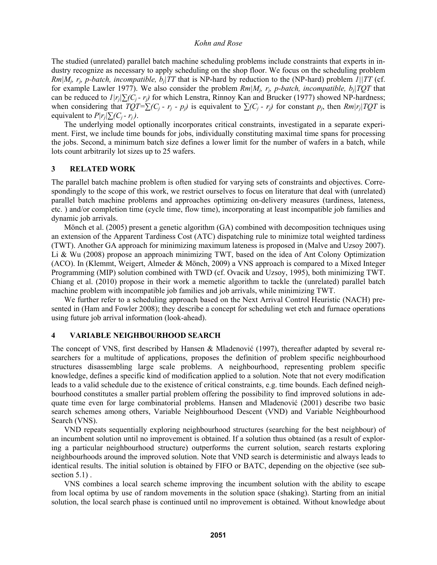The studied (unrelated) parallel batch machine scheduling problems include constraints that experts in industry recognize as necessary to apply scheduling on the shop floor. We focus on the scheduling problem *Rm|M<sub>i</sub>, r<sub>i</sub>, p-batch, incompatible, b<sub>i</sub>|TT* that is NP-hard by reduction to the (NP-hard) problem *1*||TT (cf. for example Lawler 1977). We also consider the problem *Rm|Mj, rj, p-batch, incompatible, bj|TQT* that can be reduced to  $I|r_j|\sum (C_i - r_j)$  for which Lenstra, Rinnoy Kan and Brucker (1977) showed NP-hardness; when considering that  $TQT=\sum (C_i - r_j - p_j)$  is equivalent to  $\sum (C_i - r_j)$  for constant  $p_i$ , then  $Rm|r_i|TQT$  is equivalent to  $P|r_i|\sum (C_i - r_i)$ .

 The underlying model optionally incorporates critical constraints, investigated in a separate experiment. First, we include time bounds for jobs, individually constituting maximal time spans for processing the jobs. Second, a minimum batch size defines a lower limit for the number of wafers in a batch, while lots count arbitrarily lot sizes up to 25 wafers.

#### **3 RELATED WORK**

The parallel batch machine problem is often studied for varying sets of constraints and objectives. Correspondingly to the scope of this work, we restrict ourselves to focus on literature that deal with (unrelated) parallel batch machine problems and approaches optimizing on-delivery measures (tardiness, lateness, etc. ) and/or completion time (cycle time, flow time), incorporating at least incompatible job families and dynamic job arrivals.

 Mönch et al. (2005) present a genetic algorithm (GA) combined with decomposition techniques using an extension of the Apparent Tardiness Cost (ATC) dispatching rule to minimize total weighted tardiness (TWT). Another GA approach for minimizing maximum lateness is proposed in (Malve and Uzsoy 2007). Li & Wu (2008) propose an approach minimizing TWT, based on the idea of Ant Colony Optimization (ACO). In (Klemmt, Weigert, Almeder & Mönch, 2009) a VNS approach is compared to a Mixed Integer Programming (MIP) solution combined with TWD (cf. Ovacik and Uzsoy, 1995), both minimizing TWT. Chiang et al. (2010) propose in their work a memetic algorithm to tackle the (unrelated) parallel batch machine problem with incompatible job families and job arrivals, while minimizing TWT.

 We further refer to a scheduling approach based on the Next Arrival Control Heuristic (NACH) presented in (Ham and Fowler 2008); they describe a concept for scheduling wet etch and furnace operations using future job arrival information (look-ahead).

#### **4 VARIABLE NEIGHBOURHOOD SEARCH**

The concept of VNS, first described by Hansen & Mladenović (1997), thereafter adapted by several researchers for a multitude of applications, proposes the definition of problem specific neighbourhood structures disassembling large scale problems. A neighbourhood, representing problem specific knowledge, defines a specific kind of modification applied to a solution. Note that not every modification leads to a valid schedule due to the existence of critical constraints, e.g. time bounds. Each defined neighbourhood constitutes a smaller partial problem offering the possibility to find improved solutions in adequate time even for large combinatorial problems. Hansen and Mladenović (2001) describe two basic search schemes among others, Variable Neighbourhood Descent (VND) and Variable Neighbourhood Search (VNS).

 VND repeats sequentially exploring neighbourhood structures (searching for the best neighbour) of an incumbent solution until no improvement is obtained. If a solution thus obtained (as a result of exploring a particular neighbourhood structure) outperforms the current solution, search restarts exploring neighbourhoods around the improved solution. Note that VND search is deterministic and always leads to identical results. The initial solution is obtained by FIFO or BATC, depending on the objective (see subsection 5.1).

 VNS combines a local search scheme improving the incumbent solution with the ability to escape from local optima by use of random movements in the solution space (shaking). Starting from an initial solution, the local search phase is continued until no improvement is obtained. Without knowledge about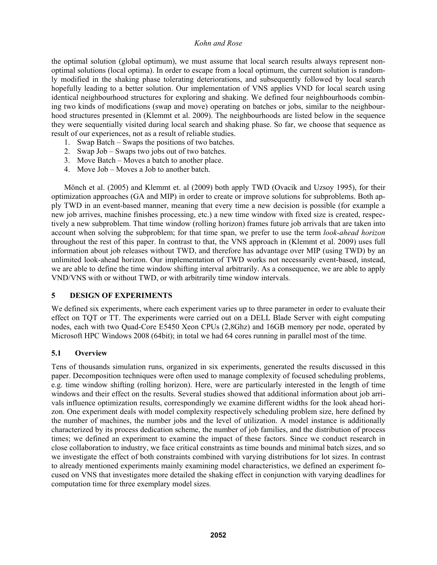the optimal solution (global optimum), we must assume that local search results always represent nonoptimal solutions (local optima). In order to escape from a local optimum, the current solution is randomly modified in the shaking phase tolerating deteriorations, and subsequently followed by local search hopefully leading to a better solution. Our implementation of VNS applies VND for local search using identical neighbourhood structures for exploring and shaking. We defined four neighbourhoods combining two kinds of modifications (swap and move) operating on batches or jobs, similar to the neighbourhood structures presented in (Klemmt et al. 2009). The neighbourhoods are listed below in the sequence they were sequentially visited during local search and shaking phase. So far, we choose that sequence as result of our experiences, not as a result of reliable studies.

- 1. Swap Batch Swaps the positions of two batches.
- 2. Swap Job Swaps two jobs out of two batches.
- 3. Move Batch Moves a batch to another place.
- 4. Move Job Moves a Job to another batch.

 Mönch et al. (2005) and Klemmt et. al (2009) both apply TWD (Ovacik and Uzsoy 1995), for their optimization approaches (GA and MIP) in order to create or improve solutions for subproblems. Both apply TWD in an event-based manner, meaning that every time a new decision is possible (for example a new job arrives, machine finishes processing, etc.) a new time window with fixed size is created, respectively a new subproblem. That time window (rolling horizon) frames future job arrivals that are taken into account when solving the subproblem; for that time span, we prefer to use the term *look-ahead horizon* throughout the rest of this paper. In contrast to that, the VNS approach in (Klemmt et al. 2009) uses full information about job releases without TWD, and therefore has advantage over MIP (using TWD) by an unlimited look-ahead horizon. Our implementation of TWD works not necessarily event-based, instead, we are able to define the time window shifting interval arbitrarily. As a consequence, we are able to apply VND/VNS with or without TWD, or with arbitrarily time window intervals.

# **5 DESIGN OF EXPERIMENTS**

We defined six experiments, where each experiment varies up to three parameter in order to evaluate their effect on TQT or TT. The experiments were carried out on a DELL Blade Server with eight computing nodes, each with two Quad-Core E5450 Xeon CPUs (2,8Ghz) and 16GB memory per node, operated by Microsoft HPC Windows 2008 (64bit); in total we had 64 cores running in parallel most of the time.

# **5.1 Overview**

Tens of thousands simulation runs, organized in six experiments, generated the results discussed in this paper. Decomposition techniques were often used to manage complexity of focused scheduling problems, e.g. time window shifting (rolling horizon). Here, were are particularly interested in the length of time windows and their effect on the results. Several studies showed that additional information about job arrivals influence optimization results, correspondingly we examine different widths for the look ahead horizon. One experiment deals with model complexity respectively scheduling problem size, here defined by the number of machines, the number jobs and the level of utilization. A model instance is additionally characterized by its process dedication scheme, the number of job families, and the distribution of process times; we defined an experiment to examine the impact of these factors. Since we conduct research in close collaboration to industry, we face critical constraints as time bounds and minimal batch sizes, and so we investigate the effect of both constraints combined with varying distributions for lot sizes. In contrast to already mentioned experiments mainly examining model characteristics, we defined an experiment focused on VNS that investigates more detailed the shaking effect in conjunction with varying deadlines for computation time for three exemplary model sizes.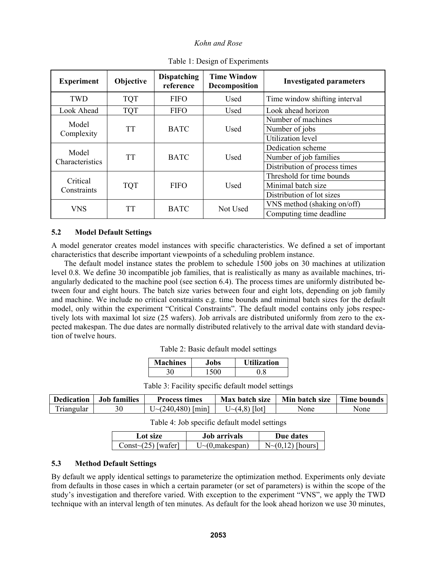| <b>Experiment</b>        | Objective  | <b>Dispatching</b><br>reference | <b>Time Window</b><br>Decomposition | <b>Investigated parameters</b> |
|--------------------------|------------|---------------------------------|-------------------------------------|--------------------------------|
| <b>TWD</b>               | <b>TQT</b> | <b>FIFO</b>                     | Used                                | Time window shifting interval  |
| Look Ahead               | <b>TQT</b> | <b>FIFO</b>                     | Used                                | Look ahead horizon             |
|                          |            | <b>BATC</b>                     | Used                                | Number of machines             |
| Model<br>Complexity      | <b>TT</b>  |                                 |                                     | Number of jobs                 |
|                          |            |                                 |                                     | <b>Utilization</b> level       |
| Model<br>Characteristics | <b>TT</b>  | <b>BATC</b>                     | Used                                | Dedication scheme              |
|                          |            |                                 |                                     | Number of job families         |
|                          |            |                                 |                                     | Distribution of process times  |
| Critical<br>Constraints  | <b>TQT</b> | <b>FIFO</b>                     | Used                                | Threshold for time bounds      |
|                          |            |                                 |                                     | Minimal batch size             |
|                          |            |                                 |                                     | Distribution of lot sizes      |
| <b>VNS</b>               | TT         | <b>BATC</b>                     | Not Used                            | VNS method (shaking on/off)    |
|                          |            |                                 |                                     | Computing time deadline        |

# **5.2 Model Default Settings**

A model generator creates model instances with specific characteristics. We defined a set of important characteristics that describe important viewpoints of a scheduling problem instance.

 The default model instance states the problem to schedule 1500 jobs on 30 machines at utilization level 0.8. We define 30 incompatible job families, that is realistically as many as available machines, triangularly dedicated to the machine pool (see section 6.4). The process times are uniformly distributed between four and eight hours. The batch size varies between four and eight lots, depending on job family and machine. We include no critical constraints e.g. time bounds and minimal batch sizes for the default model, only within the experiment "Critical Constraints". The default model contains only jobs respectively lots with maximal lot size (25 wafers). Job arrivals are distributed uniformly from zero to the expected makespan. The due dates are normally distributed relatively to the arrival date with standard deviation of twelve hours.

| <b>Machines</b> | Jobs | <b>Utilization</b> |
|-----------------|------|--------------------|
|                 |      |                    |

| Table 3: Facility specific default model settings |  |  |  |
|---------------------------------------------------|--|--|--|

| <b>Dedication</b> | <b>Job families</b> | <b>Process times</b>    | Max batch size        | Min batch size | Time bounds |
|-------------------|---------------------|-------------------------|-----------------------|----------------|-------------|
| Triangular        |                     | $U\sim$ (240,480) [min] | $U_{\sim}(4,8)$ [lot] | None           | None        |

| Table 4: Job specific default model settings |  |  |  |  |
|----------------------------------------------|--|--|--|--|
|----------------------------------------------|--|--|--|--|

| Lot size            | Job arrivals         | Due dates        |  |
|---------------------|----------------------|------------------|--|
| $Const(25)$ [wafer] | $U\sim(0, makespan)$ | $\lceil$ [hours] |  |

# **5.3 Method Default Settings**

By default we apply identical settings to parameterize the optimization method. Experiments only deviate from defaults in those cases in which a certain parameter (or set of parameters) is within the scope of the study's investigation and therefore varied. With exception to the experiment "VNS", we apply the TWD technique with an interval length of ten minutes. As default for the look ahead horizon we use 30 minutes,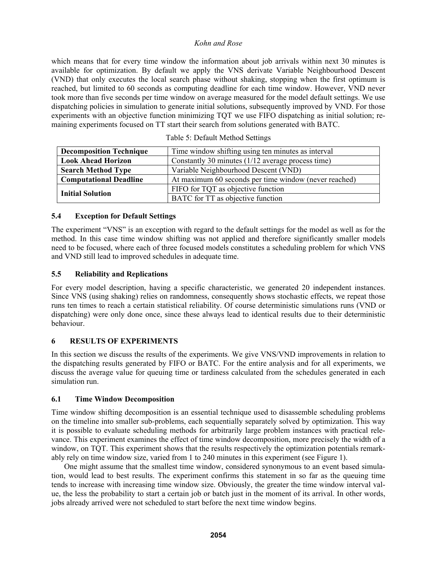which means that for every time window the information about job arrivals within next 30 minutes is available for optimization. By default we apply the VNS derivate Variable Neighbourhood Descent (VND) that only executes the local search phase without shaking, stopping when the first optimum is reached, but limited to 60 seconds as computing deadline for each time window. However, VND never took more than five seconds per time window on average measured for the model default settings. We use dispatching policies in simulation to generate initial solutions, subsequently improved by VND. For those experiments with an objective function minimizing TQT we use FIFO dispatching as initial solution; remaining experiments focused on TT start their search from solutions generated with BATC.

| <b>Decomposition Technique</b> | Time window shifting using ten minutes as interval    |  |
|--------------------------------|-------------------------------------------------------|--|
| <b>Look Ahead Horizon</b>      | Constantly 30 minutes (1/12 average process time)     |  |
| <b>Search Method Type</b>      | Variable Neighbourhood Descent (VND)                  |  |
| <b>Computational Deadline</b>  | At maximum 60 seconds per time window (never reached) |  |
|                                | FIFO for TQT as objective function                    |  |
| <b>Initial Solution</b>        | BATC for TT as objective function                     |  |

Table 5: Default Method Settings

# **5.4 Exception for Default Settings**

The experiment "VNS" is an exception with regard to the default settings for the model as well as for the method. In this case time window shifting was not applied and therefore significantly smaller models need to be focused, where each of three focused models constitutes a scheduling problem for which VNS and VND still lead to improved schedules in adequate time.

# **5.5 Reliability and Replications**

For every model description, having a specific characteristic, we generated 20 independent instances. Since VNS (using shaking) relies on randomness, consequently shows stochastic effects, we repeat those runs ten times to reach a certain statistical reliability. Of course deterministic simulations runs (VND or dispatching) were only done once, since these always lead to identical results due to their deterministic behaviour.

# **6 RESULTS OF EXPERIMENTS**

In this section we discuss the results of the experiments. We give VNS/VND improvements in relation to the dispatching results generated by FIFO or BATC. For the entire analysis and for all experiments, we discuss the average value for queuing time or tardiness calculated from the schedules generated in each simulation run.

# **6.1 Time Window Decomposition**

Time window shifting decomposition is an essential technique used to disassemble scheduling problems on the timeline into smaller sub-problems, each sequentially separately solved by optimization. This way it is possible to evaluate scheduling methods for arbitrarily large problem instances with practical relevance. This experiment examines the effect of time window decomposition, more precisely the width of a window, on TQT. This experiment shows that the results respectively the optimization potentials remarkably rely on time window size, varied from 1 to 240 minutes in this experiment (see Figure 1).

 One might assume that the smallest time window, considered synonymous to an event based simulation, would lead to best results. The experiment confirms this statement in so far as the queuing time tends to increase with increasing time window size. Obviously, the greater the time window interval value, the less the probability to start a certain job or batch just in the moment of its arrival. In other words, jobs already arrived were not scheduled to start before the next time window begins.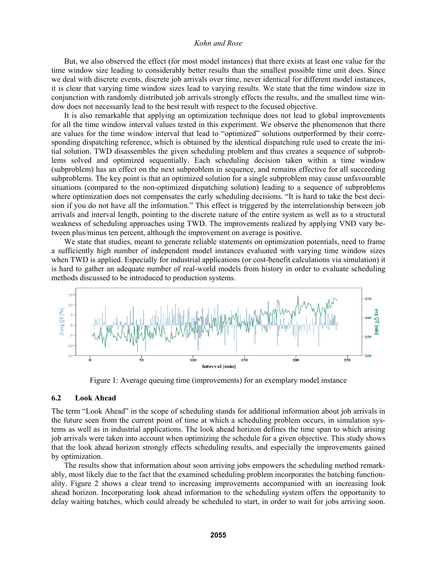But, we also observed the effect (for most model instances) that there exists at least one value for the time window size leading to considerably better results than the smallest possible time unit does. Since we deal with discrete events, discrete job arrivals over time, never identical for different model instances, it is clear that varying time window sizes lead to varying results. We state that the time window size in conjunction with randomly distributed job arrivals strongly effects the results, and the smallest time window does not necessarily lead to the best result with respect to the focused objective.

 It is also remarkable that applying an optimization technique does not lead to global improvements for all the time window interval values tested in this experiment. We observe the phenomenon that there are values for the time window interval that lead to "optimized" solutions outperformed by their corresponding dispatching reference, which is obtained by the identical dispatching rule used to create the initial solution. TWD disassembles the given scheduling problem and thus creates a sequence of subproblems solved and optimized sequentially. Each scheduling decision taken within a time window (subproblem) has an effect on the next subproblem in sequence, and remains effective for all succeeding subproblems. The key point is that an optimized solution for a single subproblem may cause unfavourable situations (compared to the non-optimized dispatching solution) leading to a sequence of subproblems where optimization does not compensates the early scheduling decisions. "It is hard to take the best decision if you do not have all the information." This effect is triggered by the interrelationship between job arrivals and interval length, pointing to the discrete nature of the entire system as well as to a structural weakness of scheduling approaches using TWD. The improvements realized by applying VND vary between plus/minus ten percent, although the improvement on average is positive.

 We state that studies, meant to generate reliable statements on optimization potentials, need to frame a sufficiently high number of independent model instances evaluated with varying time window sizes when TWD is applied. Especially for industrial applications (or cost-benefit calculations via simulation) it is hard to gather an adequate number of real-world models from history in order to evaluate scheduling methods discussed to be introduced to production systems.



Figure 1: Average queuing time (improvements) for an exemplary model instance

# **6.2 Look Ahead**

The term "Look Ahead" in the scope of scheduling stands for additional information about job arrivals in the future seen from the current point of time at which a scheduling problem occurs, in simulation systems as well as in industrial applications. The look ahead horizon defines the time span to which arising job arrivals were taken into account when optimizing the schedule for a given objective. This study shows that the look ahead horizon strongly effects scheduling results, and especially the improvements gained by optimization.

 The results show that information about soon arriving jobs empowers the scheduling method remarkably, most likely due to the fact that the examined scheduling problem incorporates the batching functionality. Figure 2 shows a clear trend to increasing improvements accompanied with an increasing look ahead horizon. Incorporating look ahead information to the scheduling system offers the opportunity to delay waiting batches, which could already be scheduled to start, in order to wait for jobs arriving soon.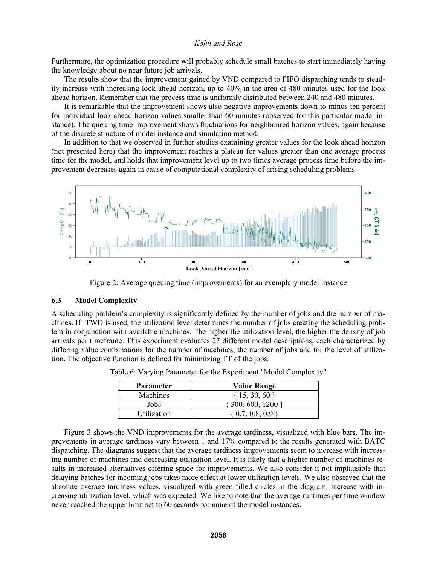Furthermore, the optimization procedure will probably schedule small batches to start immediately having the knowledge about no near future job arrivals.

 The results show that the improvement gained by VND compared to FIFO dispatching tends to steadily increase with increasing look ahead horizon, up to 40% in the area of 480 minutes used for the look ahead horizon. Remember that the process time is uniformly distributed between 240 and 480 minutes.

 It is remarkable that the improvement shows also negative improvements down to minus ten percent for individual look ahead horizon values smaller than 60 minutes (observed for this particular model instance). The queuing time improvement shows fluctuations for neighboured horizon values, again because of the discrete structure of model instance and simulation method.

 In addition to that we observed in further studies examining greater values for the look ahead horizon (not presented here) that the improvement reaches a plateau for values greater than one average process time for the model, and holds that improvement level up to two times average process time before the improvement decreases again in cause of computational complexity of arising scheduling problems.



Figure 2: Average queuing time (improvements) for an exemplary model instance

### **6.3 Model Complexity**

A scheduling problem's complexity is significantly defined by the number of jobs and the number of machines. If TWD is used, the utilization level determines the number of jobs creating the scheduling problem in conjunction with available machines. The higher the utilization level, the higher the density of job arrivals per timeframe. This experiment evaluates 27 different model descriptions, each characterized by differing value combinations for the number of machines, the number of jobs and for the level of utilization. The objective function is defined for minimizing TT of the jobs.

| <b>Parameter</b> | <b>Value Range</b> |
|------------------|--------------------|
| Machines         | $\{15, 30, 60\}$   |
| Jobs             | 1300, 600, 1200    |
| Utilization      | 0.7, 0.8, 0.9      |

Table 6: Varying Parameter for the Experiment "Model Complexity"

 Figure 3 shows the VND improvements for the average tardiness, visualized with blue bars. The improvements in average tardiness vary between 1 and 17% compared to the results generated with BATC dispatching. The diagrams suggest that the average tardiness improvements seem to increase with increasing number of machines and decreasing utilization level. It is likely that a higher number of machines results in increased alternatives offering space for improvements. We also consider it not implausible that delaying batches for incoming jobs takes more effect at lower utilization levels. We also observed that the absolute average tardiness values, visualized with green filled circles in the diagram, increase with increasing utilization level, which was expected. We like to note that the average runtimes per time window never reached the upper limit set to 60 seconds for none of the model instances.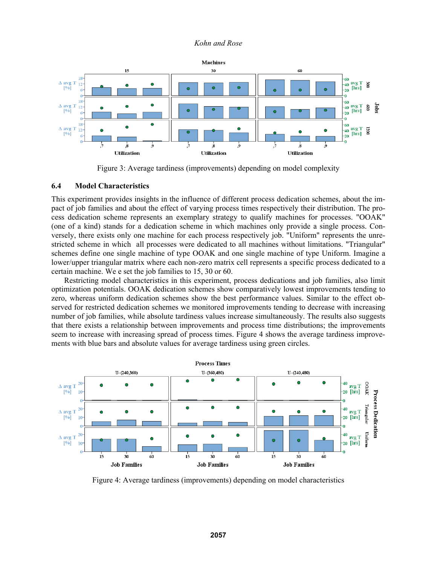

Figure 3: Average tardiness (improvements) depending on model complexity

### **6.4 Model Characteristics**

This experiment provides insights in the influence of different process dedication schemes, about the impact of job families and about the effect of varying process times respectively their distribution. The process dedication scheme represents an exemplary strategy to qualify machines for processes. "OOAK" (one of a kind) stands for a dedication scheme in which machines only provide a single process. Conversely, there exists only one machine for each process respectively job. "Uniform" represents the unrestricted scheme in which all processes were dedicated to all machines without limitations. "Triangular" schemes define one single machine of type OOAK and one single machine of type Uniform. Imagine a lower/upper triangular matrix where each non-zero matrix cell represents a specific process dedicated to a certain machine. We e set the job families to 15, 30 or 60.

 Restricting model characteristics in this experiment, process dedications and job families, also limit optimization potentials. OOAK dedication schemes show comparatively lowest improvements tending to zero, whereas uniform dedication schemes show the best performance values. Similar to the effect observed for restricted dedication schemes we monitored improvements tending to decrease with increasing number of job families, while absolute tardiness values increase simultaneously. The results also suggests that there exists a relationship between improvements and process time distributions; the improvements seem to increase with increasing spread of process times. Figure 4 shows the average tardiness improvements with blue bars and absolute values for average tardiness using green circles.



Figure 4: Average tardiness (improvements) depending on model characteristics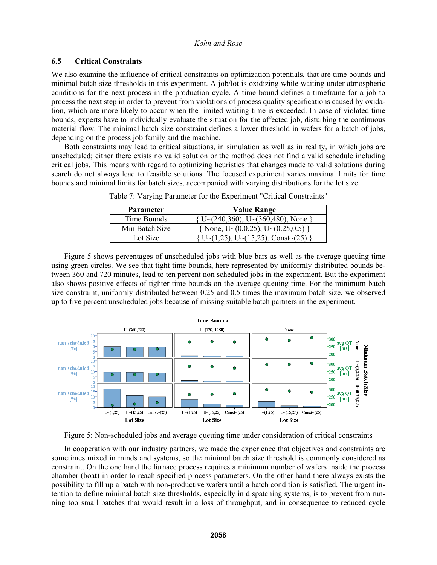# **6.5 Critical Constraints**

We also examine the influence of critical constraints on optimization potentials, that are time bounds and minimal batch size thresholds in this experiment. A job/lot is oxidizing while waiting under atmospheric conditions for the next process in the production cycle. A time bound defines a timeframe for a job to process the next step in order to prevent from violations of process quality specifications caused by oxidation, which are more likely to occur when the limited waiting time is exceeded. In case of violated time bounds, experts have to individually evaluate the situation for the affected job, disturbing the continuous material flow. The minimal batch size constraint defines a lower threshold in wafers for a batch of jobs, depending on the process job family and the machine.

 Both constraints may lead to critical situations, in simulation as well as in reality, in which jobs are unscheduled; either there exists no valid solution or the method does not find a valid schedule including critical jobs. This means with regard to optimizing heuristics that changes made to valid solutions during search do not always lead to feasible solutions. The focused experiment varies maximal limits for time bounds and minimal limits for batch sizes, accompanied with varying distributions for the lot size.

| <b>Parameter</b> | Value Range                                  |
|------------------|----------------------------------------------|
| Time Bounds      | $U\sim(240,360)$ , U $\sim(360,480)$ , None  |
| Min Batch Size   | {None, U~ $(0,0.25)$ , U~ $(0.25,0.5)$ }     |
| Lot Size         | U~ $(1,25)$ , U~ $(15,25)$ , Const~ $(25)$ } |

Table 7: Varying Parameter for the Experiment "Critical Constraints"

 Figure 5 shows percentages of unscheduled jobs with blue bars as well as the average queuing time using green circles. We see that tight time bounds, here represented by uniformly distributed bounds between 360 and 720 minutes, lead to ten percent non scheduled jobs in the experiment. But the experiment also shows positive effects of tighter time bounds on the average queuing time. For the minimum batch size constraint, uniformly distributed between 0.25 and 0.5 times the maximum batch size, we observed up to five percent unscheduled jobs because of missing suitable batch partners in the experiment.



Figure 5: Non-scheduled jobs and average queuing time under consideration of critical constraints

 In cooperation with our industry partners, we made the experience that objectives and constraints are sometimes mixed in minds and systems, so the minimal batch size threshold is commonly considered as constraint. On the one hand the furnace process requires a minimum number of wafers inside the process chamber (boat) in order to reach specified process parameters. On the other hand there always exists the possibility to fill up a batch with non-productive wafers until a batch condition is satisfied. The urgent intention to define minimal batch size thresholds, especially in dispatching systems, is to prevent from running too small batches that would result in a loss of throughput, and in consequence to reduced cycle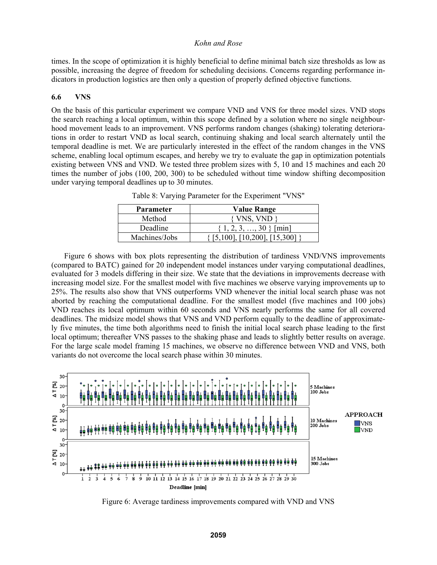times. In the scope of optimization it is highly beneficial to define minimal batch size thresholds as low as possible, increasing the degree of freedom for scheduling decisions. Concerns regarding performance indicators in production logistics are then only a question of properly defined objective functions.

### **6.6 VNS**

On the basis of this particular experiment we compare VND and VNS for three model sizes. VND stops the search reaching a local optimum, within this scope defined by a solution where no single neighbourhood movement leads to an improvement. VNS performs random changes (shaking) tolerating deteriorations in order to restart VND as local search, continuing shaking and local search alternately until the temporal deadline is met. We are particularly interested in the effect of the random changes in the VNS scheme, enabling local optimum escapes, and hereby we try to evaluate the gap in optimization potentials existing between VNS and VND. We tested three problem sizes with 5, 10 and 15 machines and each 20 times the number of jobs (100, 200, 300) to be scheduled without time window shifting decomposition under varying temporal deadlines up to 30 minutes.

| <b>Parameter</b> | <b>Value Range</b>             |
|------------------|--------------------------------|
| Method           | VNS, VND                       |
| Deadline         | $\{1, 2, 3, , 30\}$ [min]      |
| Machines/Jobs    | $[5,100]$ , [10,200], [15,300] |
|                  |                                |

Table 8: Varying Parameter for the Experiment "VNS"

 Figure 6 shows with box plots representing the distribution of tardiness VND/VNS improvements (compared to BATC) gained for 20 independent model instances under varying computational deadlines, evaluated for 3 models differing in their size. We state that the deviations in improvements decrease with increasing model size. For the smallest model with five machines we observe varying improvements up to 25%. The results also show that VNS outperforms VND whenever the initial local search phase was not aborted by reaching the computational deadline. For the smallest model (five machines and 100 jobs) VND reaches its local optimum within 60 seconds and VNS nearly performs the same for all covered deadlines. The midsize model shows that VNS and VND perform equally to the deadline of approximately five minutes, the time both algorithms need to finish the initial local search phase leading to the first local optimum; thereafter VNS passes to the shaking phase and leads to slightly better results on average. For the large scale model framing 15 machines, we observe no difference between VND and VNS, both variants do not overcome the local search phase within 30 minutes.



Figure 6: Average tardiness improvements compared with VND and VNS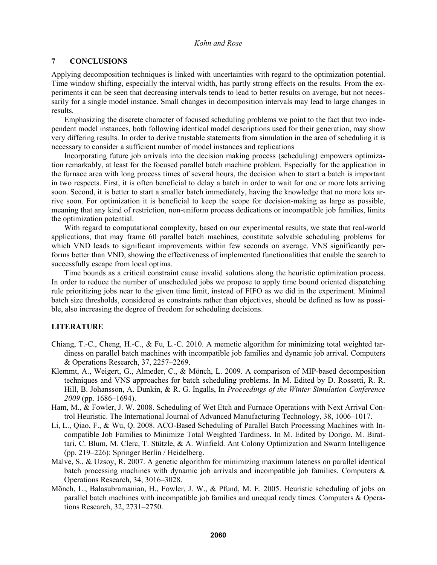# **7 CONCLUSIONS**

Applying decomposition techniques is linked with uncertainties with regard to the optimization potential. Time window shifting, especially the interval width, has partly strong effects on the results. From the experiments it can be seen that decreasing intervals tends to lead to better results on average, but not necessarily for a single model instance. Small changes in decomposition intervals may lead to large changes in results.

 Emphasizing the discrete character of focused scheduling problems we point to the fact that two independent model instances, both following identical model descriptions used for their generation, may show very differing results. In order to derive trustable statements from simulation in the area of scheduling it is necessary to consider a sufficient number of model instances and replications

 Incorporating future job arrivals into the decision making process (scheduling) empowers optimization remarkably, at least for the focused parallel batch machine problem. Especially for the application in the furnace area with long process times of several hours, the decision when to start a batch is important in two respects. First, it is often beneficial to delay a batch in order to wait for one or more lots arriving soon. Second, it is better to start a smaller batch immediately, having the knowledge that no more lots arrive soon. For optimization it is beneficial to keep the scope for decision-making as large as possible, meaning that any kind of restriction, non-uniform process dedications or incompatible job families, limits the optimization potential.

 With regard to computational complexity, based on our experimental results, we state that real-world applications, that may frame 60 parallel batch machines, constitute solvable scheduling problems for which VND leads to significant improvements within few seconds on average. VNS significantly performs better than VND, showing the effectiveness of implemented functionalities that enable the search to successfully escape from local optima.

 Time bounds as a critical constraint cause invalid solutions along the heuristic optimization process. In order to reduce the number of unscheduled jobs we propose to apply time bound oriented dispatching rule prioritizing jobs near to the given time limit, instead of FIFO as we did in the experiment. Minimal batch size thresholds, considered as constraints rather than objectives, should be defined as low as possible, also increasing the degree of freedom for scheduling decisions.

# **LITERATURE**

- Chiang, T.-C., Cheng, H.-C., & Fu, L.-C. 2010. A memetic algorithm for minimizing total weighted tardiness on parallel batch machines with incompatible job families and dynamic job arrival. Computers & Operations Research, 37, 2257–2269.
- Klemmt, A., Weigert, G., Almeder, C., & Mönch, L. 2009. A comparison of MIP-based decomposition techniques and VNS approaches for batch scheduling problems. In M. Edited by D. Rossetti, R. R. Hill, B. Johansson, A. Dunkin, & R. G. Ingalls, In *Proceedings of the Winter Simulation Conference 2009* (pp. 1686–1694).
- Ham, M., & Fowler, J. W. 2008. Scheduling of Wet Etch and Furnace Operations with Next Arrival Control Heuristic. The International Journal of Advanced Manufacturing Technology, 38, 1006–1017.
- Li, L., Qiao, F., & Wu, Q. 2008. ACO-Based Scheduling of Parallel Batch Processing Machines with Incompatible Job Families to Minimize Total Weighted Tardiness. In M. Edited by Dorigo, M. Birattari, C. Blum, M. Clerc, T. Stützle, & A. Winfield. Ant Colony Optimization and Swarm Intelligence (pp. 219–226): Springer Berlin / Heidelberg.
- Malve, S., & Uzsoy, R. 2007. A genetic algorithm for minimizing maximum lateness on parallel identical batch processing machines with dynamic job arrivals and incompatible job families. Computers & Operations Research, 34, 3016–3028.
- Mönch, L., Balasubramanian, H., Fowler, J. W., & Pfund, M. E. 2005. Heuristic scheduling of jobs on parallel batch machines with incompatible job families and unequal ready times. Computers & Operations Research, 32, 2731–2750.